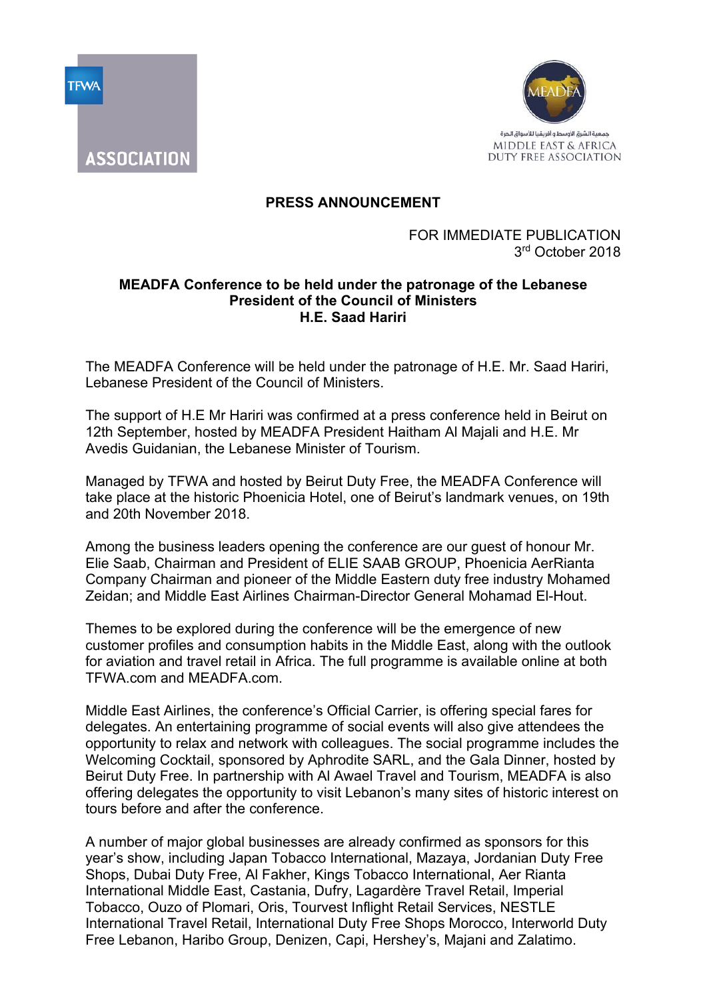



ASSOCIATION

## **PRESS ANNOUNCEMENT**

## FOR IMMEDIATE PUBLICATION 3rd October 2018

## **MEADFA Conference to be held under the patronage of the Lebanese President of the Council of Ministers H.E. Saad Hariri**

The MEADFA Conference will be held under the patronage of H.E. Mr. Saad Hariri, Lebanese President of the Council of Ministers.

The support of H.E Mr Hariri was confirmed at a press conference held in Beirut on 12th September, hosted by MEADFA President Haitham Al Majali and H.E. Mr Avedis Guidanian, the Lebanese Minister of Tourism.

Managed by TFWA and hosted by Beirut Duty Free, the MEADFA Conference will take place at the historic Phoenicia Hotel, one of Beirut's landmark venues, on 19th and 20th November 2018.

Among the business leaders opening the conference are our guest of honour Mr. Elie Saab, Chairman and President of ELIE SAAB GROUP, Phoenicia AerRianta Company Chairman and pioneer of the Middle Eastern duty free industry Mohamed Zeidan; and Middle East Airlines Chairman-Director General Mohamad El-Hout.

Themes to be explored during the conference will be the emergence of new customer profiles and consumption habits in the Middle East, along with the outlook for aviation and travel retail in Africa. The full programme is available online at both TFWA.com and MEADFA.com.

Middle East Airlines, the conference's Official Carrier, is offering special fares for delegates. An entertaining programme of social events will also give attendees the opportunity to relax and network with colleagues. The social programme includes the Welcoming Cocktail, sponsored by Aphrodite SARL, and the Gala Dinner, hosted by Beirut Duty Free. In partnership with Al Awael Travel and Tourism, MEADFA is also offering delegates the opportunity to visit Lebanon's many sites of historic interest on tours before and after the conference.

A number of major global businesses are already confirmed as sponsors for this year's show, including Japan Tobacco International, Mazaya, Jordanian Duty Free Shops, Dubai Duty Free, Al Fakher, Kings Tobacco International, Aer Rianta International Middle East, Castania, Dufry, Lagardère Travel Retail, Imperial Tobacco, Ouzo of Plomari, Oris, Tourvest Inflight Retail Services, NESTLE International Travel Retail, International Duty Free Shops Morocco, Interworld Duty Free Lebanon, Haribo Group, Denizen, Capi, Hershey's, Majani and Zalatimo.